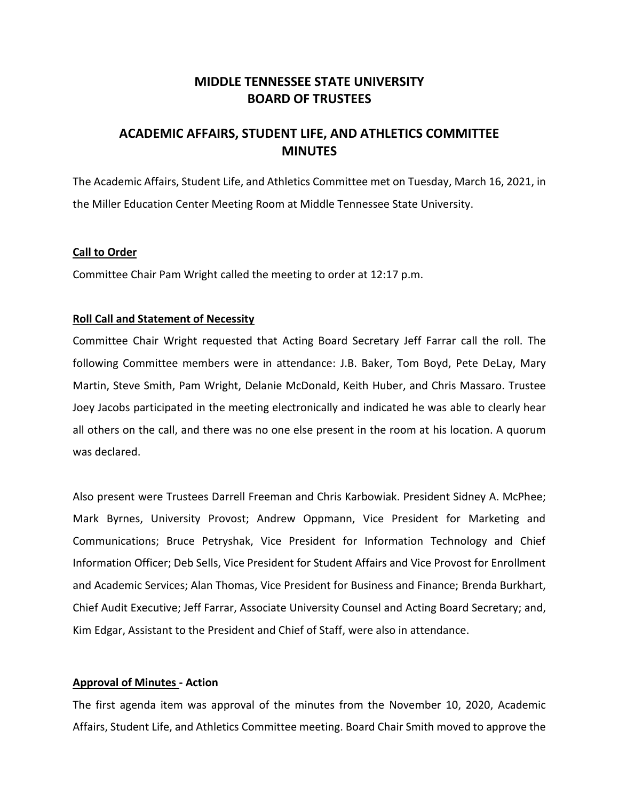# **MIDDLE TENNESSEE STATE UNIVERSITY BOARD OF TRUSTEES**

# **ACADEMIC AFFAIRS, STUDENT LIFE, AND ATHLETICS COMMITTEE MINUTES**

The Academic Affairs, Student Life, and Athletics Committee met on Tuesday, March 16, 2021, in the Miller Education Center Meeting Room at Middle Tennessee State University.

#### **Call to Order**

Committee Chair Pam Wright called the meeting to order at 12:17 p.m.

### **Roll Call and Statement of Necessity**

Committee Chair Wright requested that Acting Board Secretary Jeff Farrar call the roll. The following Committee members were in attendance: J.B. Baker, Tom Boyd, Pete DeLay, Mary Martin, Steve Smith, Pam Wright, Delanie McDonald, Keith Huber, and Chris Massaro. Trustee Joey Jacobs participated in the meeting electronically and indicated he was able to clearly hear all others on the call, and there was no one else present in the room at his location. A quorum was declared.

Also present were Trustees Darrell Freeman and Chris Karbowiak. President Sidney A. McPhee; Mark Byrnes, University Provost; Andrew Oppmann, Vice President for Marketing and Communications; Bruce Petryshak, Vice President for Information Technology and Chief Information Officer; Deb Sells, Vice President for Student Affairs and Vice Provost for Enrollment and Academic Services; Alan Thomas, Vice President for Business and Finance; Brenda Burkhart, Chief Audit Executive; Jeff Farrar, Associate University Counsel and Acting Board Secretary; and, Kim Edgar, Assistant to the President and Chief of Staff, were also in attendance.

## **Approval of Minutes - Action**

The first agenda item was approval of the minutes from the November 10, 2020, Academic Affairs, Student Life, and Athletics Committee meeting. Board Chair Smith moved to approve the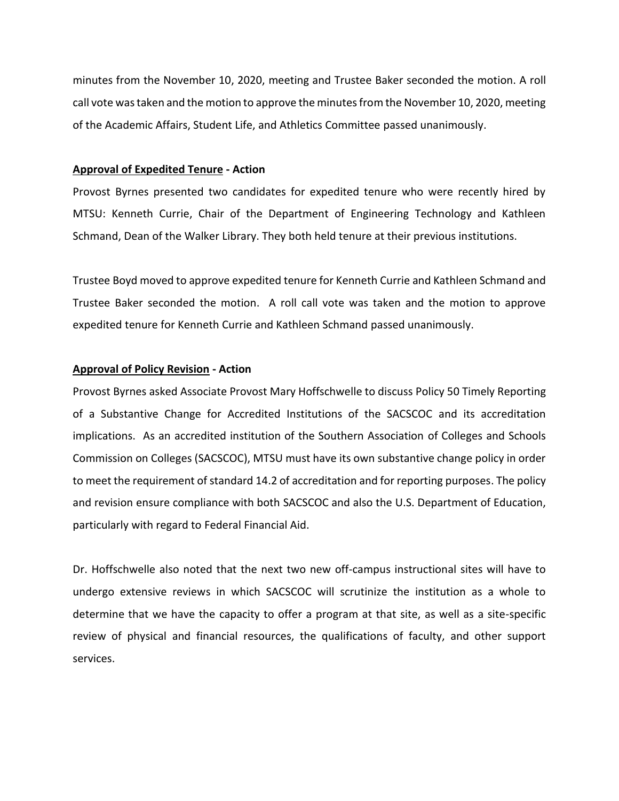minutes from the November 10, 2020, meeting and Trustee Baker seconded the motion. A roll call vote was taken and the motion to approve the minutes from the November 10, 2020, meeting of the Academic Affairs, Student Life, and Athletics Committee passed unanimously.

#### **Approval of Expedited Tenure - Action**

Provost Byrnes presented two candidates for expedited tenure who were recently hired by MTSU: Kenneth Currie, Chair of the Department of Engineering Technology and Kathleen Schmand, Dean of the Walker Library. They both held tenure at their previous institutions.

Trustee Boyd moved to approve expedited tenure for Kenneth Currie and Kathleen Schmand and Trustee Baker seconded the motion. A roll call vote was taken and the motion to approve expedited tenure for Kenneth Currie and Kathleen Schmand passed unanimously.

#### **Approval of Policy Revision - Action**

Provost Byrnes asked Associate Provost Mary Hoffschwelle to discuss Policy 50 Timely Reporting of a Substantive Change for Accredited Institutions of the SACSCOC and its accreditation implications. As an accredited institution of the Southern Association of Colleges and Schools Commission on Colleges (SACSCOC), MTSU must have its own substantive change policy in order to meet the requirement of standard 14.2 of accreditation and for reporting purposes. The policy and revision ensure compliance with both SACSCOC and also the U.S. Department of Education, particularly with regard to Federal Financial Aid.

Dr. Hoffschwelle also noted that the next two new off-campus instructional sites will have to undergo extensive reviews in which SACSCOC will scrutinize the institution as a whole to determine that we have the capacity to offer a program at that site, as well as a site-specific review of physical and financial resources, the qualifications of faculty, and other support services.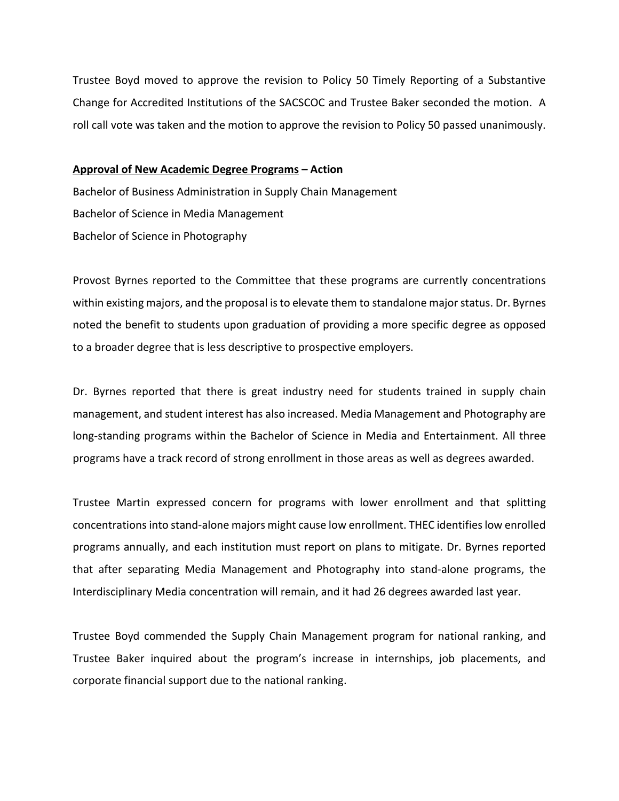Trustee Boyd moved to approve the revision to Policy 50 Timely Reporting of a Substantive Change for Accredited Institutions of the SACSCOC and Trustee Baker seconded the motion. A roll call vote was taken and the motion to approve the revision to Policy 50 passed unanimously.

#### **Approval of New Academic Degree Programs – Action**

Bachelor of Business Administration in Supply Chain Management Bachelor of Science in Media Management Bachelor of Science in Photography

Provost Byrnes reported to the Committee that these programs are currently concentrations within existing majors, and the proposal is to elevate them to standalone major status. Dr. Byrnes noted the benefit to students upon graduation of providing a more specific degree as opposed to a broader degree that is less descriptive to prospective employers.

Dr. Byrnes reported that there is great industry need for students trained in supply chain management, and student interest has also increased. Media Management and Photography are long-standing programs within the Bachelor of Science in Media and Entertainment. All three programs have a track record of strong enrollment in those areas as well as degrees awarded.

Trustee Martin expressed concern for programs with lower enrollment and that splitting concentrationsinto stand-alone majors might cause low enrollment. THEC identifies low enrolled programs annually, and each institution must report on plans to mitigate. Dr. Byrnes reported that after separating Media Management and Photography into stand-alone programs, the Interdisciplinary Media concentration will remain, and it had 26 degrees awarded last year.

Trustee Boyd commended the Supply Chain Management program for national ranking, and Trustee Baker inquired about the program's increase in internships, job placements, and corporate financial support due to the national ranking.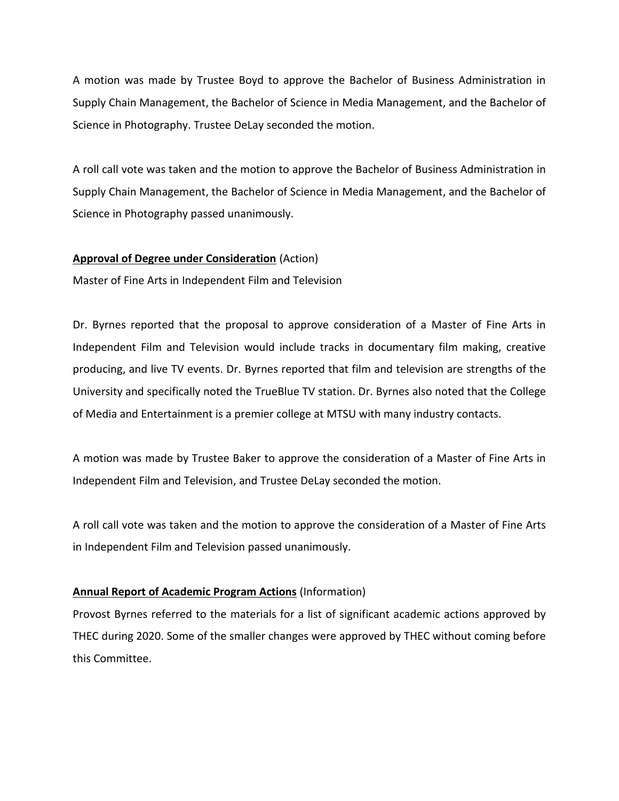A motion was made by Trustee Boyd to approve the Bachelor of Business Administration in Supply Chain Management, the Bachelor of Science in Media Management, and the Bachelor of Science in Photography. Trustee DeLay seconded the motion.

A roll call vote was taken and the motion to approve the Bachelor of Business Administration in Supply Chain Management, the Bachelor of Science in Media Management, and the Bachelor of Science in Photography passed unanimously.

## **Approval of Degree under Consideration** (Action)

Master of Fine Arts in Independent Film and Television

Dr. Byrnes reported that the proposal to approve consideration of a Master of Fine Arts in Independent Film and Television would include tracks in documentary film making, creative producing, and live TV events. Dr. Byrnes reported that film and television are strengths of the University and specifically noted the TrueBlue TV station. Dr. Byrnes also noted that the College of Media and Entertainment is a premier college at MTSU with many industry contacts.

A motion was made by Trustee Baker to approve the consideration of a Master of Fine Arts in Independent Film and Television, and Trustee DeLay seconded the motion.

A roll call vote was taken and the motion to approve the consideration of a Master of Fine Arts in Independent Film and Television passed unanimously.

## **Annual Report of Academic Program Actions** (Information)

Provost Byrnes referred to the materials for a list of significant academic actions approved by THEC during 2020. Some of the smaller changes were approved by THEC without coming before this Committee.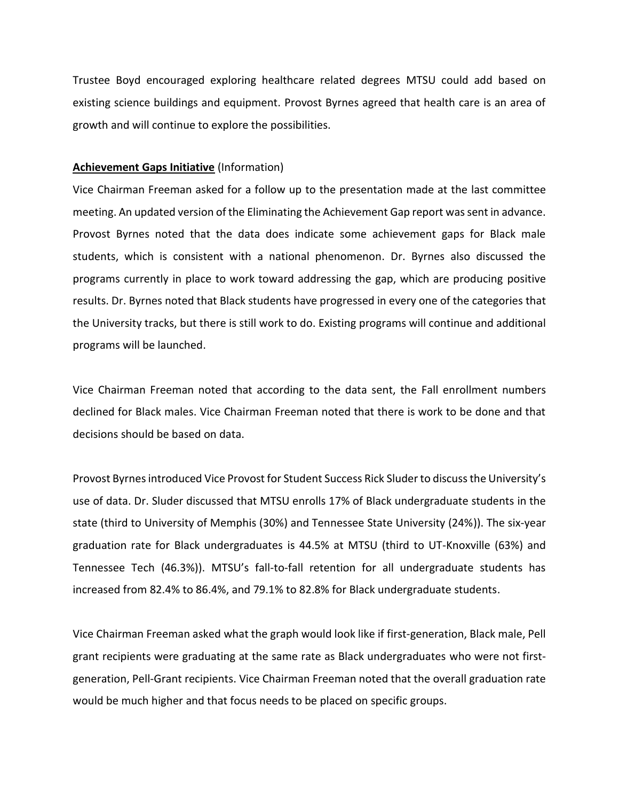Trustee Boyd encouraged exploring healthcare related degrees MTSU could add based on existing science buildings and equipment. Provost Byrnes agreed that health care is an area of growth and will continue to explore the possibilities.

#### **Achievement Gaps Initiative** (Information)

Vice Chairman Freeman asked for a follow up to the presentation made at the last committee meeting. An updated version of the Eliminating the Achievement Gap report was sent in advance. Provost Byrnes noted that the data does indicate some achievement gaps for Black male students, which is consistent with a national phenomenon. Dr. Byrnes also discussed the programs currently in place to work toward addressing the gap, which are producing positive results. Dr. Byrnes noted that Black students have progressed in every one of the categories that the University tracks, but there is still work to do. Existing programs will continue and additional programs will be launched.

Vice Chairman Freeman noted that according to the data sent, the Fall enrollment numbers declined for Black males. Vice Chairman Freeman noted that there is work to be done and that decisions should be based on data.

Provost Byrnes introduced Vice Provost for Student Success Rick Sluder to discuss the University's use of data. Dr. Sluder discussed that MTSU enrolls 17% of Black undergraduate students in the state (third to University of Memphis (30%) and Tennessee State University (24%)). The six-year graduation rate for Black undergraduates is 44.5% at MTSU (third to UT-Knoxville (63%) and Tennessee Tech (46.3%)). MTSU's fall-to-fall retention for all undergraduate students has increased from 82.4% to 86.4%, and 79.1% to 82.8% for Black undergraduate students.

Vice Chairman Freeman asked what the graph would look like if first-generation, Black male, Pell grant recipients were graduating at the same rate as Black undergraduates who were not firstgeneration, Pell-Grant recipients. Vice Chairman Freeman noted that the overall graduation rate would be much higher and that focus needs to be placed on specific groups.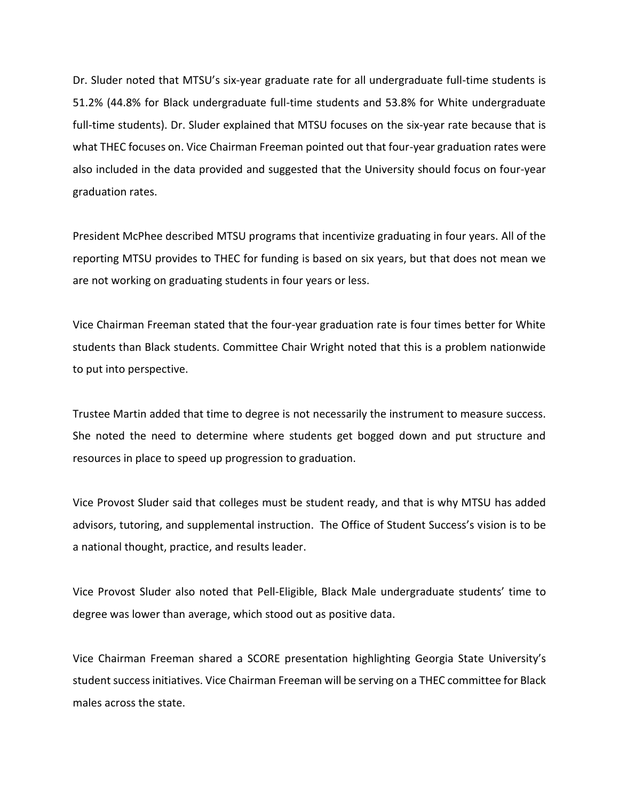Dr. Sluder noted that MTSU's six-year graduate rate for all undergraduate full-time students is 51.2% (44.8% for Black undergraduate full-time students and 53.8% for White undergraduate full-time students). Dr. Sluder explained that MTSU focuses on the six-year rate because that is what THEC focuses on. Vice Chairman Freeman pointed out that four-year graduation rates were also included in the data provided and suggested that the University should focus on four-year graduation rates.

President McPhee described MTSU programs that incentivize graduating in four years. All of the reporting MTSU provides to THEC for funding is based on six years, but that does not mean we are not working on graduating students in four years or less.

Vice Chairman Freeman stated that the four-year graduation rate is four times better for White students than Black students. Committee Chair Wright noted that this is a problem nationwide to put into perspective.

Trustee Martin added that time to degree is not necessarily the instrument to measure success. She noted the need to determine where students get bogged down and put structure and resources in place to speed up progression to graduation.

Vice Provost Sluder said that colleges must be student ready, and that is why MTSU has added advisors, tutoring, and supplemental instruction. The Office of Student Success's vision is to be a national thought, practice, and results leader.

Vice Provost Sluder also noted that Pell-Eligible, Black Male undergraduate students' time to degree was lower than average, which stood out as positive data.

Vice Chairman Freeman shared a SCORE presentation highlighting Georgia State University's student success initiatives. Vice Chairman Freeman will be serving on a THEC committee for Black males across the state.